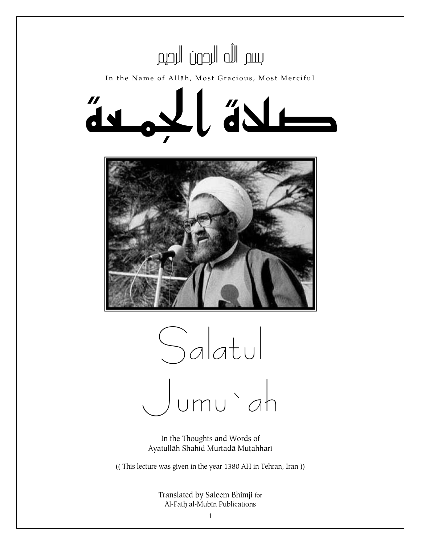



In the Thoughts and Words of Ayatullāh Shahid Murtadā Muțahhari

(( This lecture was given in the year 1380 AH in Tehran, Iran ))

Translated by Saleem Bhimji for Al-Fath al-Mubin Publications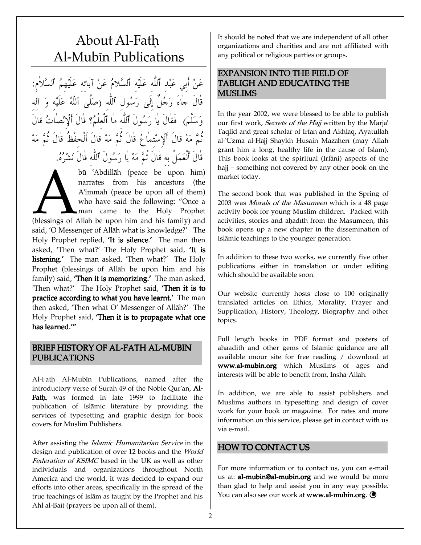# About Al-Fath Al-Mubin Publications

عَنْ أَبِي عَبْدِ ٱللهِ عَلَيْهِ ٱلسَّلامُ عَنْ آبائه عَلَيْهِمُ ٱلسَّلامِ: -قال جاء رَجُل إلىي رَسُول ٱلله (صَلَىٰ ٱللهُ عَلَيْه وَ ٱله  $\overline{\phantom{0}}$ وَسَلَمَ) فقال يا رَسُول ٱللهِ ما ٱلعِلْمُ؟ قال أَلْإِنْصاتُ قال ثُمَّ مَهْ قَالَ أَلْإِسْتِمَاعُ قَالَ ثُمَّ مَهْ قَالَ أَلْحِفظَ قَالَ ثُمَّ مَهْ قال ألعَمَل به قال ثمَّ مَهْ يا رَسُول ٱلله قال نَشْرُهُ.

bū 'Abdillāh (peace be upon him) narrates from his ancestors (the A˜immah (peace be upon all of them) who have said the following: "Once a man came to the Holy Prophet bū `Abdillah (peace be upon him)<br>narrates from his ancestors (the<br>A'immah (peace be upon all of them)<br>who have said the following: "Once a<br>man came to the Holy Prophet<br>(blessings of Allah be upon him and his family) and<br>sa said, 'O Messenger of Allāh what is knowledge?' The Holy Prophet replied, 'It is silence.' The man then asked, 'Then what?' The Holy Prophet said, **'It is** listening.' The man asked, 'Then what?' The Holy Prophet (blessings of Allāh be upon him and his family) said, **Then it is memorizing.'** The man asked, 'Then what?' The Holy Prophet said, **'Then it is to** practice according to what you have learnt.' The man then asked, 'Then what O' Messenger of Allāh?' The Holy Prophet said, 'Then it is to propagate what one has learned."

# BRIEF HISTORY OF AL-FATH AL-MUBIN **PUBLICATIONS**

Al-Fath Al-Mubin Publications, named after the introductory verse of Surah 49 of the Noble Qur'an, Al-Fath, was formed in late 1999 to facilitate the publication of Islāmic literature by providing the services of typesetting and graphic design for book covers for Muslim Publishers.

After assisting the *Islamic Humanitarian Service* in the design and publication of over 12 books and the World Federation of KSIMC based in the UK as well as other individuals and organizations throughout North America and the world, it was decided to expand our efforts into other areas, specifically in the spread of the true teachings of Islām as taught by the Prophet and his Ahl al-Baīt (prayers be upon all of them).

It should be noted that we are independent of all other organizations and charities and are not affiliated with any political or religious parties or groups.

# EXPANSION INTO THE FIELD OF TABLIGH AND EDUCATING THE MUSLIMS

In the year 2002, we were blessed to be able to publish our first work, Secrets of the Hajj written by the Marja<sup>c</sup> Taqlid and great scholar of Irfān and Akhlāq, Ayatullāh al-'Uzmā al-Hāji Shaykh Husain Mazāherī (may Allah grant him a long, healthy life in the cause of Islam). This book looks at the spiritual (Irfani) aspects of the hajj – something not covered by any other book on the market today.

The second book that was published in the Spring of 2003 was Morals of the Masumeen which is a 48 page activity book for young Muslim children. Packed with activities, stories and ahādīth from the Masumeen, this book opens up a new chapter in the dissemination of Islāmic teachings to the younger generation.

In addition to these two works, we currently five other publications either in translation or under editing which should be available soon.

Our website currently hosts close to 100 originally translated articles on Ethics, Morality, Prayer and Supplication, History, Theology, Biography and other topics.

Full length books in PDF format and posters of ahaadith and other gems of Islāmic guidance are all available onour site for free reading / download at www.al-mubin.org which Muslims of ages and interests will be able to benefit from, Inshā-Allāh.

In addition, we are able to assist publishers and Muslims authors in typesetting and design of cover work for your book or magazine. For rates and more information on this service, please get in contact with us via e-mail.

## HOW TO CONTACT US

For more information or to contact us, you can e-mail us at: **al-mubin@al-mubin.org** and we would be more than glad to help and assist you in any way possible. You can also see our work at www.al-mubin.org.  $\bigcirc$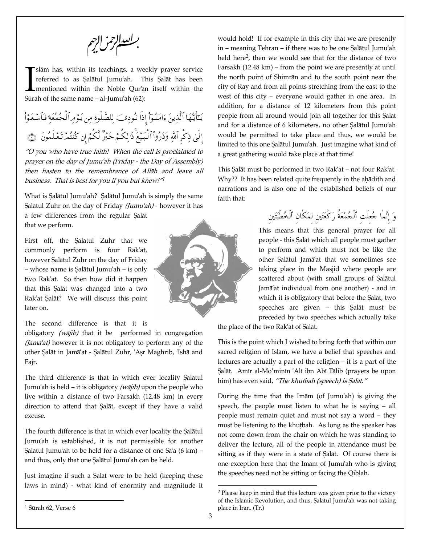برانعدال زيرم

slām has, within its teachings, a weekly prayer service referred to as Salātul Jumu'ah. This Salāt has been I mentioned within the Noble Our'an itself within the Slām has, within its teachings, a weerderred to as Salātul Jumu'ah. The mentioned within the Noble Qur'ar Sūrah of the same name – al-Jumu'ah (62):

يَايَتَّهَا الَّذِينَ ءَامْنُوا إِذَا نُودِكَبِ لِلصَّلَوٰةِ مِن يُوَمِّ الْجُمْعَةِ فَـاسْعَوَا إلىٰ ذِكْرِ اللهِ وذُرُوا البيع ذَٰ لِكُمْ خَيْرِ لَكُمْ أَنْ كُنْتُمْ تَعْلَمُونَ ۚ ﴿ ۖ ۖ

"O you who have true faith! When the call is proclaimed to prayer on the day of Jumu`ah (Friday - the Day of Assembly) then hasten to the remembrance of Allah and leave all business. That is best for you if you but knew!"<sup>1</sup>

What is Salātul Jumu'ah? Salātul Jumu'ah is simply the same Salātul Zuhr on the day of Friday (Jumu'ah) - however it has

a few differences from the regular Salāt that we perform.

First off, the Salatul Zuhr that we commonly perform is four Rak`at, however Salātul Zuhr on the day of Friday – whose name is Salātul Jumu'ah – is only two Rak`at. So then how did it happen that this Salāt was changed into a two Rak'at Salāt? We will discuss this point later on.

The second difference is that it is

obligatory  $(w\bar{a}jib)$  that it be performed in congregation (Jam $\bar{a}$ 'at) however it is not obligatory to perform any of the other Salāt in Jamāʿat - Salātul Zuhr, `Aṣr Maghrib, `Ishā and Fajr.

The third difference is that in which ever locality Salātul Jumu'ah is held – it is obligatory (wājib) upon the people who live within a distance of two Farsakh (12.48 km) in every direction to attend that Salāt, except if they have a valid excuse.

The fourth difference is that in which ever locality the Salātul Jumu`ah is established, it is not permissible for another Salātul Jumu'ah to be held for a distance of one Sā'a (6 km) – and thus, only that one Salātul Jumu'ah can be held.

Just imagine if such a Salāt were to be held (keeping these laws in mind) - what kind of enormity and magnitude it

would hold! If for example in this city that we are presently in – meaning Tehran – if there was to be one Salātul Jumu'ah held here<sup>2</sup>, then we would see that for the distance of two Farsakh (12.48 km) – from the point we are presently at until the north point of Shimran and to the south point near the city of Ray and from all points stretching from the east to the west of this city – everyone would gather in one area. In addition, for a distance of 12 kilometers from this point people from all around would join all together for this Salāt and for a distance of 6 kilometers, no other Salātul Jumu'ah would be permitted to take place and thus, we would be limited to this one Salātul Jumu'ah. Just imagine what kind of a great gathering would take place at that time!

This Salāt must be performed in two Rak'at – not four Rak'at. Why?? It has been related quite frequently in the ahādith and narrations and is also one of the established beliefs of our faith that:

> -وَ إنَّما حُعلت ٱلْجُمْعَة رَكَعَتَين لَمَكَان ٱلْخُطَبَتَين

This means that this general prayer for all people - this Salāt which all people must gather to perform and which must not be like the other Salātul Jamā'at that we sometimes see taking place in the Masjid where people are scattered about (with small groups of Salātul Jamā'at individual from one another) - and in which it is obligatory that before the Salāt, two speeches are given – this Salāt must be preceded by two speeches which actually take

the place of the two Rak'at of Salāt.

This is the point which I wished to bring forth that within our sacred religion of Islām, we have a belief that speeches and lectures are actually a part of the religion – it is a part of the Salāt. Amīr al-Mo'minīn `Alī ibn Abī Țālib (prayers be upon him) has even said, "The khutbah (speech) is Salāt."

During the time that the Im $\bar{a}$ m (of Jumu'ah) is giving the speech, the people must listen to what he is saying – all people must remain quiet and must not say a word – they must be listening to the khutbah. As long as the speaker has not come down from the chair on which he was standing to deliver the lecture, all of the people in attendance must be sitting as if they were in a state of Salāt. Of course there is one exception here that the Imam of Jumu'ah who is giving the speeches need not be sitting or facing the Qiblah.

<sup>2</sup> Please keep in mind that this lecture was given prior to the victory of the Islāmic Revolution, and thus, Salātul Jumu'ah was not taking place in Iran. (Tr.)

 $1$  Sūrah 62, Verse 6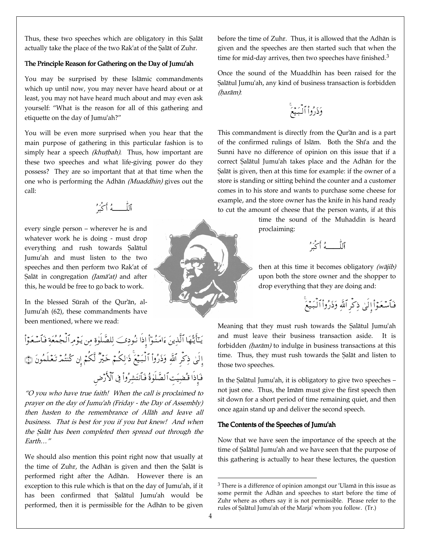Thus, these two speeches which are obligatory in this Salāt actually take the place of the two Rak'at of the Salāt of Zuhr.

### The Principle Reason for Gathering on the Day of Jumu'ah

You may be surprised by these Islāmic commandments which up until now, you may never have heard about or at least, you may not have heard much about and may even ask yourself: "What is the reason for all of this gathering and etiquette on the day of Jumu`ah?"

You will be even more surprised when you hear that the main purpose of gathering in this particular fashion is to simply hear a speech (khutbah). Thus, how important are these two speeches and what life-giving power do they possess? They are so important that at that time when the one who is performing the Adhān (Muaddhin) gives out the call:

D3J PP 

every single person – wherever he is and whatever work he is doing - must drop everything and rush towards Salātul Jumu`ah and must listen to the two speeches and then perform two Rak`at of Salāt in congregation (Jamā'at) and after this, he would be free to go back to work.

In the blessed Sūrah of the Our'an, al-Jumu`ah (62), these commandments have been mentioned, where we read:

يَايَتَّهَا الَّذِينَ ءَامْنُوا إِذَا نُودِكَبِ لِلصَّلَوٰةِ مِن يُوَمِّ الْجُمْعَةِ فَـاسْعَوَا إلىٰ ذِكْرِ اللهِ وذروا البيع ذَٰ لِكُمّ خير لَكُمْ إِن كُنتمَ تَعْلَمُونَ ﴿ ۖ فإذا قضيت الصلوة فانتشروا في الأرض

"O you who have true faith! When the call is proclaimed to prayer on the day of Jumu`ah (Friday - the Day of Assembly) then hasten to the remembrance of Allah and leave all business. That is best for you if you but knew! And when the Salāt has been completed then spread out through the Earth…"

We should also mention this point right now that usually at the time of Zuhr, the Adhān is given and then the Salāt is performed right after the Adhān. However there is an exception to this rule which is that on the day of Jumu`ah, if it has been confirmed that Salātul Jumu'ah would be performed, then it is permissible for the Adhān to be given

before the time of Zuhr. Thus, it is allowed that the Adhān is given and the speeches are then started such that when the time for mid-day arrives, then two speeches have finished.<sup>3</sup>

Once the sound of the Muaddhin has been raised for the Salātul Jumu'ah, any kind of business transaction is forbidden (harām):

&-9.:-‰<… …67--6

This commandment is directly from the Qur'an and is a part of the confirmed rulings of Islam. Both the Shi'a and the Sunni have no difference of opinion on this issue that if a correct Salātul Jumu'ah takes place and the Adhān for the Salāt is given, then at this time for example: if the owner of a store is standing or sitting behind the counter and a customer comes in to his store and wants to purchase some cheese for example, and the store owner has the knife in his hand ready to cut the amount of cheese that the person wants, if at this

> time the sound of the Muhaddin is heard proclaiming:

آللـــــــهُ أكبَرُ

then at this time it becomes obligatory  $(w\bar{a}ji\bar{b})$ upon both the store owner and the shopper to drop everything that they are doing and:

> &-فاسعوا إلىٰ ذكر الله وذروا البيع

Meaning that they must rush towards the Salātul Jumu'ah and must leave their business transaction aside. It is forbidden  $(har\bar{a}m)$  to indulge in business transactions at this time. Thus, they must rush towards the Salat and listen to those two speeches.

In the Salātul Jumu'ah, it is obligatory to give two speeches – not just one. Thus, the Imām must give the first speech then sit down for a short period of time remaining quiet, and then once again stand up and deliver the second speech.

#### The Contents of the Speeches of Jumu'ah

Now that we have seen the importance of the speech at the time of Salātul Jumu'ah and we have seen that the purpose of this gathering is actually to hear these lectures, the question



 $3$  There is a difference of opinion amongst our 'Ulam $\bar{a}$  in this issue as some permit the Adhān and speeches to start before the time of Zuhr where as others say it is not permissible. Please refer to the rules of Salātul Jumu'ah of the Marja' whom you follow. (Tr.)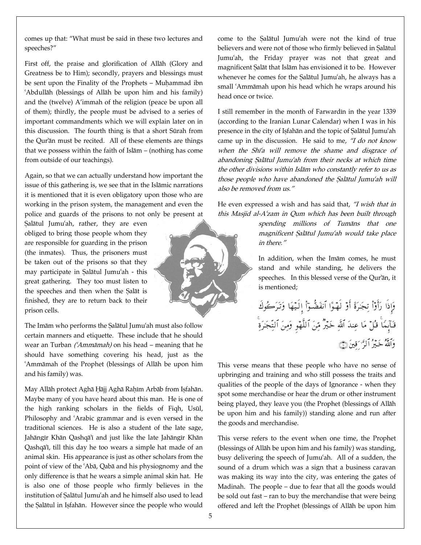comes up that: "What must be said in these two lectures and speeches?"

First off, the praise and glorification of Allāh (Glory and Greatness be to Him); secondly, prayers and blessings must be sent upon the Finality of the Prophets – Muhammad ibn `Abdullāh (blessings of Allāh be upon him and his family) and the (twelve) A'immah of the religion (peace be upon all of them); thirdly, the people must be advised to a series of important commandments which we will explain later on in this discussion. The fourth thing is that a short Sūrah from the Qur'an must be recited. All of these elements are things that we possess within the faith of Isl $am - (nothing has come)$ from outside of our teachings).

Again, so that we can actually understand how important the issue of this gathering is, we see that in the Islamic narrations it is mentioned that it is even obligatory upon those who are working in the prison system, the management and even the police and guards of the prisons to not only be present at

Şalātul Jumu'ah, rather, they are even obliged to bring those people whom they are responsible for guarding in the prison (the inmates). Thus, the prisoners must be taken out of the prisons so that they may participate in Salātul Jumu'ah - this great gathering. They too must listen to the speeches and then when the Salāt is finished, they are to return back to their prison cells.

The Imām who performs the Salātul Jumu'ah must also follow certain manners and etiquette. These include that he should wear an Turban  $(Amm\bar{a}m\bar{a}h)$  on his head – meaning that he should have something covering his head, just as the 'Ammāmah of the Prophet (blessings of Allāh be upon him and his family) was.

May Allāh protect Aghā Hājj Aghā Raḥīm Arbāb from Isfahān. Maybe many of you have heard about this man. He is one of the high ranking scholars in the fields of Fiqh, Usūl, Philosophy and `Arabic grammar and is even versed in the traditional sciences. He is also a student of the late sage, Jahāngīr Khān Qashqā'i and just like the late Jahāngīr Khān Qashqā'i, till this day he too wears a simple hat made of an animal skin. His appearance is just as other scholars from the point of view of the 'Aba, Qaba and his physiognomy and the only difference is that he wears a simple animal skin hat. He is also one of those people who firmly believes in the institution of Salātul Jumu'ah and he himself also used to lead the Salātul in Isfahān. However since the people who would



come to the Salatul Jumu'ah were not the kind of true believers and were not of those who firmly believed in Salātul Jumu`ah, the Friday prayer was not that great and magnificent Salāt that Islām has envisioned it to be. However whenever he comes for the Salātul Jumu'ah, he always has a small 'Ammāmah upon his head which he wraps around his head once or twice.

I still remember in the month of Farwardin in the year 1339 (according to the Iranian Lunar Calendar) when I was in his presence in the city of Isfahān and the topic of Salātul Jumu'ah came up in the discussion. He said to me, "I do not know when the Shi'a will remove the shame and disgrace of abandoning Salātul Jumu'ah from their necks at which time the other divisions within Islām who constantly refer to us as those people who have abandoned the Salātul Jumu'ah will also be removed from us."

He even expressed a wish and has said that, "I wish that in this Masjid al-A`zam in Qum which has been built through

> spending millions of Tumāns that one magnificent Salātul Jumu'ah would take place in there."

> In addition, when the Imam comes, he must stand and while standing, he delivers the speeches. In this blessed verse of the Qur'an, it is mentioned;

وإذا راوا تجرة أو لهـوا انفضـوا إلـيها وتركوك -قابما قل ما عِند اللهِ خير مِّنِ اللهو ومِن التَّجْرِةِ -والله خير الزَّ قِينَ ۞

This verse means that these people who have no sense of upbringing and training and who still possess the traits and qualities of the people of the days of Ignorance - when they spot some merchandise or hear the drum or other instrument being played, they leave you (the Prophet (blessings of Allāh be upon him and his family)) standing alone and run after the goods and merchandise.

This verse refers to the event when one time, the Prophet (blessings of Allāh be upon him and his family) was standing, busy delivering the speech of Jumu`ah. All of a sudden, the sound of a drum which was a sign that a business caravan was making its way into the city, was entering the gates of Madinah. The people – due to fear that all the goods would be sold out fast – ran to buy the merchandise that were being offered and left the Prophet (blessings of Allāh be upon him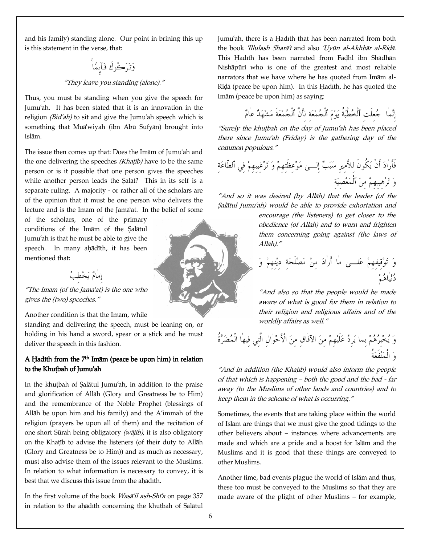and his family) standing alone. Our point in brining this up is this statement in the verse, that:

# وتركوك قابما

#### "They leave you standing (alone)."

Thus, you must be standing when you give the speech for Jumu`ah. It has been stated that it is an innovation in the religion ( $Bid'ah$ ) to sit and give the Jumu'ah speech which is something that Mua<sup>'</sup>wiyah (ibn Abū Sufyan) brought into Islām.

The issue then comes up that: Does the Imam of Jumu'ah and the one delivering the speeches (Khatib) have to be the same person or is it possible that one person gives the speeches while another person leads the Salāt? This in its self is a separate ruling. A majority - or rather all of the scholars are of the opinion that it must be one person who delivers the lecture and is the Imam of the Jama<sup>s</sup>at. In the belief of some

of the scholars, one of the primary conditions of the Imam of the Salatul Jumu`ah is that he must be able to give the speech. In many ahādīth, it has been mentioned that:

> إمامٌ يَخْطِبُ )

"The Imam (of the Jama'at) is the one who gives the (two) speeches."

Another condition is that the Imām, while

standing and delivering the speech, must be leaning on, or holding in his hand a sword, spear or a stick and he must deliver the speech in this fashion.

## A Hadith from the  $7<sup>th</sup>$  Imām (peace be upon him) in relation to the Khutbah of Jumu'ah

In the khutbah of Salātul Jumu'ah, in addition to the praise and glorification of Allāh (Glory and Greatness be to Him) and the remembrance of the Noble Prophet (blessings of Allah be upon him and his family) and the A'immah of the religion (prayers be upon all of them) and the recitation of one short Sūrah being obligatory ( $w\bar{a}jib$ ), it is also obligatory on the Khaṭīb to advise the listeners (of their duty to Allāh (Glory and Greatness be to Him)) and as much as necessary, must also advise them of the issues relevant to the Muslims. In relation to what information is necessary to convey, it is best that we discuss this issue from the ahādīth.

In the first volume of the book *Wasa'il ash-Shi'a* on page 357 in relation to the ahādīth concerning the khutbah of Salātul Jumu'ah, there is a Hadīth that has been narrated from both the book *'Illulash Sharā'i* and also 'Uyūn al-Akhbār al-Ridā. This Hadīth has been narrated from Fadhl ibn Shādhān Nishāpūrī who is one of the greatest and most reliable narrators that we have where he has quoted from Imām al-Riḍā (peace be upon him). In this Hadīth, he has quoted the Imām (peace be upon him) as saying:

> إنَّما ۚ جُعلت ٱلخُطبَة يَوْمَ ٱلْجُمْعَة لَأَن ٱلجُمْعَة مَشْهَدٌ عامٌ )<br>ء

"Surely the khutbah on the day of Jumu'ah has been placed there since Jumu`ah (Friday) is the gathering day of the common populous."

**2** فأرادَ أن يَكون للأمير سَبَبْ إلــــىٰ مَوْعظتهمْ وَ تَرْغيبهمْ في ٱلطاعَة **2** وَ تَرْهيبهمْ مِنَ ٱلْمَعْصِيَة

"And so it was desired (by Allah) that the leader (of the Salātul Jumu'ah) would be able to provide exhortation and

> encourage (the listeners) to get closer to the obedience (of Allāh) and to warn and frighten them concerning going against (the laws of  $Al\bar{a}h$ )."

- --[1-S -IA 72 -2 ST' 2 (P --@- %X - Z8S

"And also so that the people would be made aware of what is good for them in relation to their religion and religious affairs and of the worldly affairs as well."

وَ يُخْبِرُهُمْ بما يَرِدُ عَلَيْهِمْ مِنَ الآفاقِ منَ الأحْوالِ التي فيها المُضَرَّة وَ المَنْفَعَة

"And in addition (the Khaṭīb) would also inform the people of that which is happening – both the good and the bad - far away (to the Muslims of other lands and countries) and to keep them in the scheme of what is occurring."

Sometimes, the events that are taking place within the world of Islam are things that we must give the good tidings to the other believers about – instances where advancements are made and which are a pride and a boost for Islām and the Muslims and it is good that these things are conveyed to other Muslims.

Another time, bad events plague the world of Islām and thus, these too must be conveyed to the Muslims so that they are made aware of the plight of other Muslims – for example,

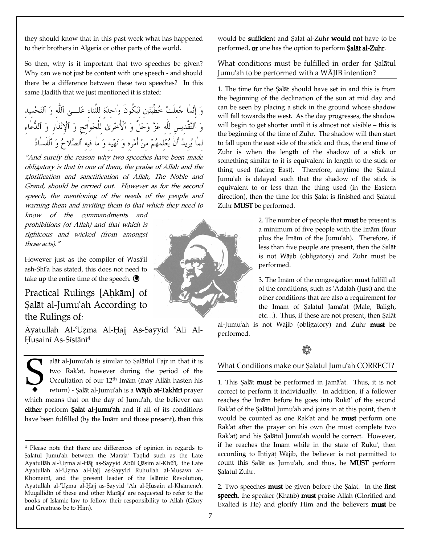they should know that in this past week what has happened to their brothers in Algeria or other parts of the world.

So then, why is it important that two speeches be given? Why can we not just be content with one speech - and should there be a difference between these two speeches? In this same Hadīth that we just mentioned it is stated:

-وَ إِنَّما حُعلتْ خُطَبَتَين لَيَكُون واحدَة للثناء عَلـــي ٱلله وَ ٱلتَحْميد -وَ ٱلتَّقْدِيسِ للهِ عَزَّ وَجَلَّ وَ ٱلأخْرِيٰ للحَوائجِ وَ ٱلإِنْذَارِ وَ ٱلدَّعَاءِ لما يُريدُ أن يُعْلَمهُمْ منْ أَمْرِه وَ نَهْيه وَ ما فيه ٱلصَّلاحُ وَ ٱلفسادُ J

"And surely the reason why two speeches have been made obligatory is that in one of them, the praise of Allah and the glorification and sanctification of Allah, The Noble and Grand, should be carried out. However as for the second speech, the mentioning of the needs of the people and warning them and inviting them to that which they need to

know of the commandments and prohibitions (of Allah) and that which is righteous and wicked (from amongst those acts)."

However just as the compiler of Wasa'il ash-Shi'a has stated, this does not need to take up the entire time of the speech.  $\bigcirc$ 

# Practical Rulings [Ahkām] of Salāt al-Jumu'ah According to the Rulings of:

Āvatullāh Al-`Uzmā Al-Hāji As-Sayyid `Alī Al-Husainī As-Sīstānī<sup>4</sup>

alāt al-Jumu'ah is similar to Salātlul Fajr in that it is two Rak`at, however during the period of the Occultation of our  $12<sup>th</sup>$  Imam (may Allah hasten his return) - Şalāt al-Jumu'ah is a Wājib at-Takhīrī prayer which means that on the day of Jumu`ah, the believer can either perform Salāt al-Jumu'ah and if all of its conditions have been fulfilled (by the Imam and those present), then this **S** 

would be sufficient and Salāt al-Zuhr would not have to be performed, or one has the option to perform Salat al-Zuhr.

### What conditions must be fulfilled in order for Salātul Jumu'ah to be performed with a  $W\bar{A}IIB$  intention?

1. The time for the Salāt should have set in and this is from the beginning of the declination of the sun at mid day and can be seen by placing a stick in the ground whose shadow will fall towards the west. As the day progresses, the shadow will begin to get shorter until it is almost not visible – this is the beginning of the time of Zuhr. The shadow will then start to fall upon the east side of the stick and thus, the end time of Zuhr is when the length of the shadow of a stick or something similar to it is equivalent in length to the stick or thing used (facing East). Therefore, anytime the Salātul Jumu`ah is delayed such that the shadow of the stick is equivalent to or less than the thing used (in the Eastern direction), then the time for this Salāt is finished and Salātul Zuhr MUST be performed.

> 2. The number of people that **must** be present is a minimum of five people with the Imam (four plus the Imām of the Jumu'ah). Therefore, if less than five people are present, then the Salāt is not Wājib (obligatory) and Zuhr must be performed.

> 3. The Imam of the congregation **must** fulfill all of the conditions, such as 'Adalah (Just) and the other conditions that are also a requirement for the Imām of Salātul Jamāʿat (Male, Bāligh, etc...). Thus, if these are not present, then Salāt

al-Jumu'ah is not Wājib (obligatory) and Zuhr must be performed.

# $\hat{\mathbb{Q}}$

#### What Conditions make our Salātul Jumu'ah CORRECT?

1. This Salāt **must** be performed in Jamā'at. Thus, it is not correct to perform it individually. In addition, if a follower reaches the Imām before he goes into Rukū<sup>c</sup> of the second Rak'at of the Salātul Jumu'ah and joins in at this point, then it would be counted as one Rak'at and he **must** perform one Rak`at after the prayer on his own (he must complete two Rak'at) and his Salātul Jumu'ah would be correct. However, if he reaches the Imam while in the state of Rukū<sup>c</sup>, then according to Ihtiyāt Wājib, the believer is not permitted to count this Salāt as Jumu'ah, and thus, he **MUST** perform Şalātul Zuhr.

2. Two speeches **must** be given before the Salat. In the **first** speech, the speaker (Khātīb) must praise Allāh (Glorified and Exalted is He) and glorify Him and the believers must be



<sup>4</sup> Please note that there are differences of opinion in regards to Salātul Jumu'ah between the Marāja<sup>c</sup> Taqlīd such as the Late Ayatullāh al-'Uzma al-Hāji as-Sayyid Abūl Qāsim al-Khū'ī, the Late Ayatullāh al-`Uzma al-Hājj as-Sayyid Rūhullāh al-Musawī al-Khomeini, and the present leader of the Islāmic Revolution, Ayatullāh al-`Uzma al-Ḥājj as-Sayyid 'Alī al-Ḥusain al-Khāmene'ī. Muqallidin of these and other Maraja<sup>'</sup> are requested to refer to the books of Islāmic law to follow their responsibility to Allāh (Glory and Greatness be to Him).